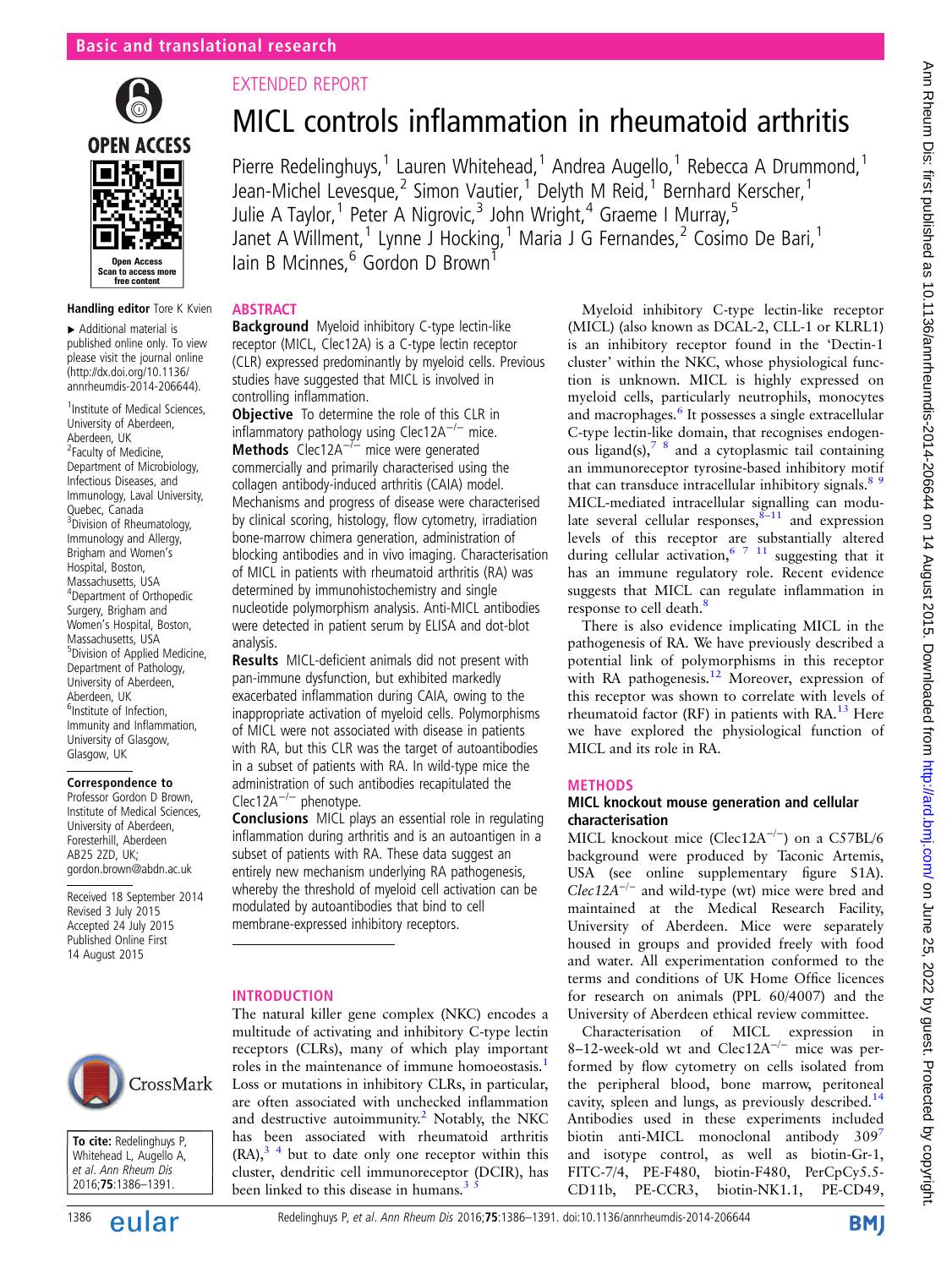

#### Handling editor Tore K Kvien

▸ Additional material is published online only. To view please visit the journal online [\(http://dx.doi.org/10.1136/](http://dx.doi.org/10.1136/annrheumdis-2014-206644) [annrheumdis-2014-206644\)](http://dx.doi.org/10.1136/annrheumdis-2014-206644).

<sup>1</sup> Institute of Medical Sciences, University of Aberdeen, Aberdeen, UK <sup>2</sup> Faculty of Medicine, Department of Microbiology, Infectious Diseases, and Immunology, Laval University, Quebec, Canada <sup>3</sup> Division of Rheumatology, Immunology and Allergy, Brigham and Women's Hospital, Boston, Massachusetts, USA 4 Department of Orthopedic Surgery, Brigham and Women's Hospital, Boston, Massachusetts, USA 5 Division of Applied Medicine, Department of Pathology, University of Aberdeen, Aberdeen, UK 6 Institute of Infection, Immunity and Inflammation, University of Glasgow, Glasgow, UK

#### Correspondence to

Professor Gordon D Brown, Institute of Medical Sciences, University of Aberdeen, Foresterhill, Aberdeen AB25 2ZD, UK; gordon.brown@abdn.ac.uk

Received 18 September 2014 Revised 3 July 2015 Accepted 24 July 2015 Published Online First 14 August 2015



#### To cite: Redelinghuys P, Whitehead L, Augello A, et al. Ann Rheum Dis 2016;75:1386–1391.

# EXTENDED REPORT

# MICL controls inflammation in rheumatoid arthritis

Pierre Redelinghuys,<sup>1</sup> Lauren Whitehead,<sup>1</sup> Andrea Augello,<sup>1</sup> Rebecca A Drummond,<sup>1</sup> Jean-Michel Levesque,<sup>2</sup> Simon Vautier,<sup>1</sup> Delyth M Reid,<sup>1</sup> Bernhard Kerscher,<sup>1</sup> Julie A Taylor,<sup>1</sup> Peter A Nigrovic,<sup>3</sup> John Wright,<sup>4</sup> Graeme I Murray,<sup>5</sup> Janet A Willment,<sup>1</sup> Lynne J Hocking,<sup>1</sup> Maria J G Fernandes,<sup>2</sup> Cosimo De Bari,<sup>1</sup> Iain B Mcinnes.<sup>6</sup> Gordon D Brown<sup>1</sup>

## **ABSTRACT**

Background Myeloid inhibitory C-type lectin-like receptor (MICL, Clec12A) is a C-type lectin receptor (CLR) expressed predominantly by myeloid cells. Previous studies have suggested that MICL is involved in controlling inflammation.

**Objective** To determine the role of this CLR in inflammatory pathology using Clec12A−/<sup>−</sup> mice. Methods Clec12A<sup>-7-</sup> mice were generated commercially and primarily characterised using the collagen antibody-induced arthritis (CAIA) model. Mechanisms and progress of disease were characterised by clinical scoring, histology, flow cytometry, irradiation bone-marrow chimera generation, administration of blocking antibodies and in vivo imaging. Characterisation of MICL in patients with rheumatoid arthritis (RA) was determined by immunohistochemistry and single nucleotide polymorphism analysis. Anti-MICL antibodies were detected in patient serum by ELISA and dot-blot analysis.

Results MICL-deficient animals did not present with pan-immune dysfunction, but exhibited markedly exacerbated inflammation during CAIA, owing to the inappropriate activation of myeloid cells. Polymorphisms of MICL were not associated with disease in patients with RA, but this CLR was the target of autoantibodies in a subset of patients with RA. In wild-type mice the administration of such antibodies recapitulated the Clec12A−/<sup>−</sup> phenotype.

Conclusions MICL plays an essential role in regulating inflammation during arthritis and is an autoantigen in a subset of patients with RA. These data suggest an entirely new mechanism underlying RA pathogenesis, whereby the threshold of myeloid cell activation can be modulated by autoantibodies that bind to cell membrane-expressed inhibitory receptors.

## INTRODUCTION

The natural killer gene complex (NKC) encodes a multitude of activating and inhibitory C-type lectin receptors (CLRs), many of which play important roles in the maintenance of immune homoeostasis.<sup>[1](#page-5-0)</sup> Loss or mutations in inhibitory CLRs, in particular, are often associated with unchecked inflammation and destructive autoimmunity.<sup>[2](#page-5-0)</sup> Notably, the NKC has been associated with rheumatoid arthritis  $(RA)$ ,  $3<sup>4</sup>$  but to date only one receptor within this cluster, dendritic cell immunoreceptor (DCIR), has been linked to this disease in humans.<sup>3</sup>

Myeloid inhibitory C-type lectin-like receptor (MICL) (also known as DCAL-2, CLL-1 or KLRL1) is an inhibitory receptor found in the 'Dectin-1 cluster' within the NKC, whose physiological function is unknown. MICL is highly expressed on myeloid cells, particularly neutrophils, monocytes and macrophages.<sup>[6](#page-5-0)</sup> It possesses a single extracellular C-type lectin-like domain, that recognises endogenous ligand(s), $7 \text{ }^8$  and a cytoplasmic tail containing an immunoreceptor tyrosine-based inhibitory motif that can transduce intracellular inhibitory signals.<sup>[8 9](#page-5-0)</sup> MICL-mediated intracellular signalling can modulate several cellular responses,  $8-11$  $8-11$  and expression levels of this receptor are substantially altered during cellular activation,  $57 \frac{11}{11}$  suggesting that it has an immune regulatory role. Recent evidence suggests that MICL can regulate inflammation in response to cell death.<sup>[8](#page-5-0)</sup>

There is also evidence implicating MICL in the pathogenesis of RA. We have previously described a potential link of polymorphisms in this receptor with RA pathogenesis.<sup>12</sup> Moreover, expression of this receptor was shown to correlate with levels of rheumatoid factor (RF) in patients with  $RA<sup>13</sup>$  $RA<sup>13</sup>$  $RA<sup>13</sup>$  Here we have explored the physiological function of MICL and its role in RA.

## METHODS

## MICL knockout mouse generation and cellular characterisation

MICL knockout mice (Clec12A<sup>-/-</sup>) on a C57BL/6 background were produced by Taconic Artemis, USA (see online [supplementary](http://ard.bmj.com/lookup/suppl/doi:10.1136/annrheumdis-2014-206644/-/DC1) figure S1A).  $Clec12A^{-/-}$  and wild-type (wt) mice were bred and maintained at the Medical Research Facility, University of Aberdeen. Mice were separately housed in groups and provided freely with food and water. All experimentation conformed to the terms and conditions of UK Home Office licences for research on animals (PPL 60/4007) and the University of Aberdeen ethical review committee.

Characterisation of MICL expression in 8–12-week-old wt and Clec12A−/<sup>−</sup> mice was performed by flow cytometry on cells isolated from the peripheral blood, bone marrow, peritoneal cavity, spleen and lungs, as previously described.<sup>[14](#page-5-0)</sup> Antibodies used in these experiments included biotin anti-MICL monoclonal antibody 309<sup>[7](#page-5-0)</sup> and isotype control, as well as biotin-Gr-1, FITC-7/4, PE-F480, biotin-F480, PerCpCy5.5- CD11b, PE-CCR3, biotin-NK1.1, PE-CD49,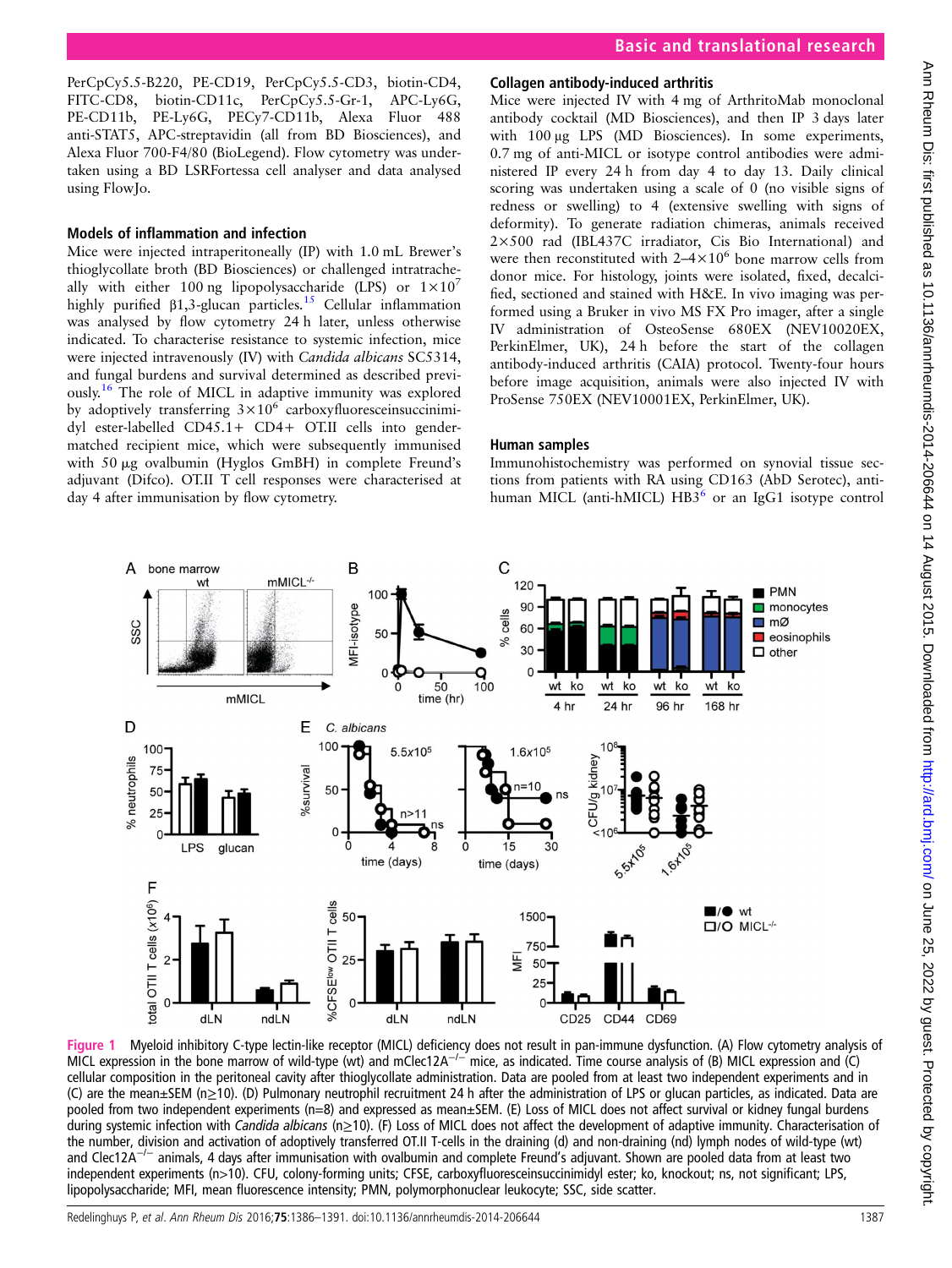Basic and translational research

<span id="page-1-0"></span>PerCpCy5.5-B220, PE-CD19, PerCpCy5.5-CD3, biotin-CD4, FITC-CD8, biotin-CD11c, PerCpCy5.5-Gr-1, APC-Ly6G, PE-CD11b, PE-Ly6G, PECy7-CD11b, Alexa Fluor 488 anti-STAT5, APC-streptavidin (all from BD Biosciences), and Alexa Fluor 700-F4/80 (BioLegend). Flow cytometry was undertaken using a BD LSRFortessa cell analyser and data analysed using FlowJo.

## Models of inflammation and infection

Mice were injected intraperitoneally (IP) with 1.0 mL Brewer's thioglycollate broth (BD Biosciences) or challenged intratracheally with either 100 ng lipopolysaccharide (LPS) or  $1\times10^{7}$ highly purified  $β1,3$ -glucan particles.<sup>[15](#page-5-0)</sup> Cellular inflammation was analysed by flow cytometry 24 h later, unless otherwise indicated. To characterise resistance to systemic infection, mice were injected intravenously (IV) with Candida albicans SC5314, and fungal burdens and survival determined as described previously.[16](#page-5-0) The role of MICL in adaptive immunity was explored by adoptively transferring  $3\times10^6$  carboxyfluoresceinsuccinimidyl ester-labelled CD45.1+ CD4+ OT.II cells into gendermatched recipient mice, which were subsequently immunised with 50  $\mu$ g ovalbumin (Hyglos GmBH) in complete Freund's adjuvant (Difco). OT.II T cell responses were characterised at day 4 after immunisation by flow cytometry.

## Collagen antibody-induced arthritis

Mice were injected IV with 4 mg of ArthritoMab monoclonal antibody cocktail (MD Biosciences), and then IP 3 days later with 100 μg LPS (MD Biosciences). In some experiments, 0.7 mg of anti-MICL or isotype control antibodies were administered IP every 24 h from day 4 to day 13. Daily clinical scoring was undertaken using a scale of 0 (no visible signs of redness or swelling) to 4 (extensive swelling with signs of deformity). To generate radiation chimeras, animals received 2×500 rad (IBL437C irradiator, Cis Bio International) and were then reconstituted with  $2-4\times10^6$  bone marrow cells from donor mice. For histology, joints were isolated, fixed, decalcified, sectioned and stained with H&E. In vivo imaging was performed using a Bruker in vivo MS FX Pro imager, after a single IV administration of OsteoSense 680EX (NEV10020EX, PerkinElmer, UK), 24 h before the start of the collagen antibody-induced arthritis (CAIA) protocol. Twenty-four hours before image acquisition, animals were also injected IV with ProSense 750EX (NEV10001EX, PerkinElmer, UK).

## Human samples

Immunohistochemistry was performed on synovial tissue sections from patients with RA using CD163 (AbD Serotec), antihuman MICL (anti-hMICL)  $HB3<sup>6</sup>$  or an IgG1 isotype control



Figure 1 Myeloid inhibitory C-type lectin-like receptor (MICL) deficiency does not result in pan-immune dysfunction. (A) Flow cytometry analysis of MICL expression in the bone marrow of wild-type (wt) and mClec12A<sup>-/-</sup> mice, as indicated. Time course analysis of (B) MICL expression and (C) cellular composition in the peritoneal cavity after thioglycollate administration. Data are pooled from at least two independent experiments and in (C) are the mean±SEM (n≥10). (D) Pulmonary neutrophil recruitment 24 h after the administration of LPS or glucan particles, as indicated. Data are pooled from two independent experiments (n=8) and expressed as mean±SEM. (E) Loss of MICL does not affect survival or kidney fungal burdens during systemic infection with Candida albicans (n≥10). (F) Loss of MICL does not affect the development of adaptive immunity. Characterisation of the number, division and activation of adoptively transferred OT.II T-cells in the draining (d) and non-draining (nd) lymph nodes of wild-type (wt) and Clec12A−/<sup>−</sup> animals, 4 days after immunisation with ovalbumin and complete Freund's adjuvant. Shown are pooled data from at least two independent experiments (n>10). CFU, colony-forming units; CFSE, carboxyfluoresceinsuccinimidyl ester; ko, knockout; ns, not significant; LPS, lipopolysaccharide; MFI, mean fluorescence intensity; PMN, polymorphonuclear leukocyte; SSC, side scatter.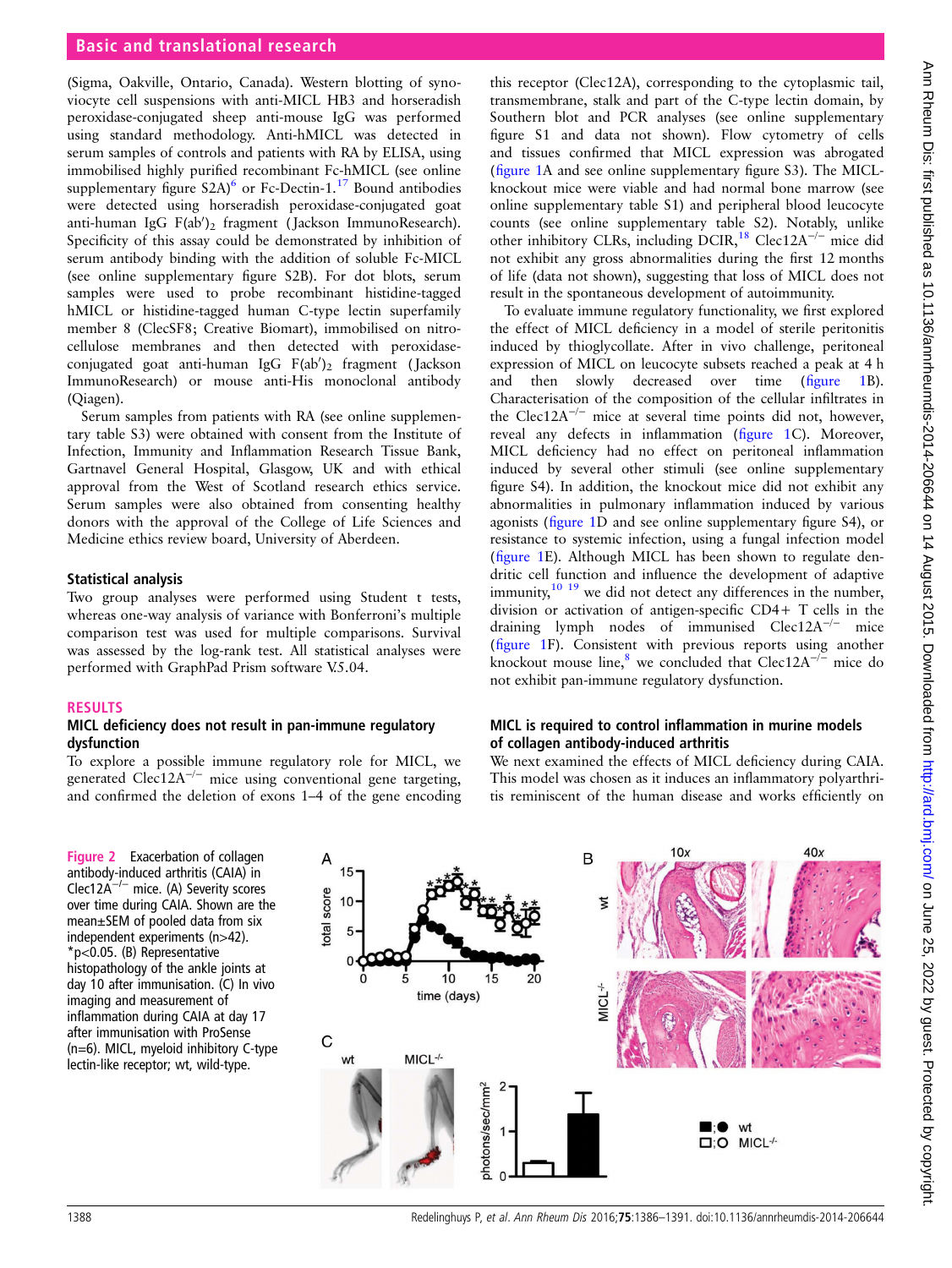## <span id="page-2-0"></span>Basic and translational research

(Sigma, Oakville, Ontario, Canada). Western blotting of synoviocyte cell suspensions with anti-MICL HB3 and horseradish peroxidase-conjugated sheep anti-mouse IgG was performed using standard methodology. Anti-hMICL was detected in serum samples of controls and patients with RA by ELISA, using immobilised highly purified recombinant Fc-hMICL (see online [supplementary](http://ard.bmj.com/lookup/suppl/doi:10.1136/annrheumdis-2014-206644/-/DC1) figure  $S2A$ <sup>[6](#page-5-0)</sup> or Fc-Dectin-1.<sup>[17](#page-5-0)</sup> Bound antibodies were detected using horseradish peroxidase-conjugated goat anti-human IgG F(ab')<sub>2</sub> fragment (Jackson ImmunoResearch). Specificity of this assay could be demonstrated by inhibition of serum antibody binding with the addition of soluble Fc-MICL (see online [supplementary](http://ard.bmj.com/lookup/suppl/doi:10.1136/annrheumdis-2014-206644/-/DC1) figure S2B). For dot blots, serum samples were used to probe recombinant histidine-tagged hMICL or histidine-tagged human C-type lectin superfamily member 8 (ClecSF8; Creative Biomart), immobilised on nitrocellulose membranes and then detected with peroxidaseconjugated goat anti-human IgG  $F(ab')_2$  fragment (Jackson ImmunoResearch) or mouse anti-His monoclonal antibody (Qiagen).

Serum samples from patients with RA (see online supplementary table S3) were obtained with consent from the Institute of Infection, Immunity and Inflammation Research Tissue Bank, Gartnavel General Hospital, Glasgow, UK and with ethical approval from the West of Scotland research ethics service. Serum samples were also obtained from consenting healthy donors with the approval of the College of Life Sciences and Medicine ethics review board, University of Aberdeen.

#### Statistical analysis

Two group analyses were performed using Student t tests, whereas one-way analysis of variance with Bonferroni's multiple comparison test was used for multiple comparisons. Survival was assessed by the log-rank test. All statistical analyses were performed with GraphPad Prism software V.5.04.

#### RESULTS

## MICL deficiency does not result in pan-immune regulatory dysfunction

To explore a possible immune regulatory role for MICL, we generated Clec12A<sup> $-/-$ </sup> mice using conventional gene targeting, and confirmed the deletion of exons 1–4 of the gene encoding

Figure 2 Exacerbation of collagen antibody-induced arthritis (CAIA) in Clec12A−/<sup>−</sup> mice. (A) Severity scores over time during CAIA. Shown are the mean±SEM of pooled data from six independent experiments (n>42). \*p<0.05. (B) Representative histopathology of the ankle joints at day 10 after immunisation. (C) In vivo imaging and measurement of inflammation during CAIA at day 17 after immunisation with ProSense (n=6). MICL, myeloid inhibitory C-type lectin-like receptor; wt, wild-type.

this receptor (Clec12A), corresponding to the cytoplasmic tail, transmembrane, stalk and part of the C-type lectin domain, by Southern blot and PCR analyses (see online [supplementary](http://ard.bmj.com/lookup/suppl/doi:10.1136/annrheumdis-2014-206644/-/DC1) fi[gure](http://ard.bmj.com/lookup/suppl/doi:10.1136/annrheumdis-2014-206644/-/DC1) S1 and data not shown). Flow cytometry of cells and tissues confirmed that MICL expression was abrogated (fi[gure 1A](#page-1-0) and see online [supplementary](http://ard.bmj.com/lookup/suppl/doi:10.1136/annrheumdis-2014-206644/-/DC1) figure S3). The MICLknockout mice were viable and had normal bone marrow (see online supplementary table S1) and peripheral blood leucocyte counts (see online supplementary table S2). Notably, unlike other inhibitory CLRs, including DCIR,<sup>[18](#page-5-0)</sup> Clec12A<sup>-/-</sup> mice did not exhibit any gross abnormalities during the first 12 months of life (data not shown), suggesting that loss of MICL does not result in the spontaneous development of autoimmunity.

To evaluate immune regulatory functionality, we first explored the effect of MICL deficiency in a model of sterile peritonitis induced by thioglycollate. After in vivo challenge, peritoneal expression of MICL on leucocyte subsets reached a peak at 4 h and then slowly decreased over time (fi[gure 1](#page-1-0)B). Characterisation of the composition of the cellular infiltrates in the Clec12A−/<sup>−</sup> mice at several time points did not, however, reveal any defects in inflammation (fi[gure 1](#page-1-0)C). Moreover, MICL deficiency had no effect on peritoneal inflammation induced by several other stimuli (see online [supplementary](http://ard.bmj.com/lookup/suppl/doi:10.1136/annrheumdis-2014-206644/-/DC1) fi[gure](http://ard.bmj.com/lookup/suppl/doi:10.1136/annrheumdis-2014-206644/-/DC1) S4). In addition, the knockout mice did not exhibit any abnormalities in pulmonary inflammation induced by various agonists (fi[gure 1](#page-1-0)D and see online [supplementary](http://ard.bmj.com/lookup/suppl/doi:10.1136/annrheumdis-2014-206644/-/DC1) figure S4), or resistance to systemic infection, using a fungal infection model (fi[gure 1E](#page-1-0)). Although MICL has been shown to regulate dendritic cell function and influence the development of adaptive immunity,<sup>[10 19](#page-5-0)</sup> we did not detect any differences in the number, division or activation of antigen-specific CD4+ T cells in the draining lymph nodes of immunised Clec12A−/<sup>−</sup> mice (fi[gure 1F](#page-1-0)). Consistent with previous reports using another knockout mouse line,<sup>[8](#page-5-0)</sup> we concluded that Clec12A<sup> $-/-$ </sup> mice do not exhibit pan-immune regulatory dysfunction.

## MICL is required to control inflammation in murine models of collagen antibody-induced arthritis

We next examined the effects of MICL deficiency during CAIA. This model was chosen as it induces an inflammatory polyarthritis reminiscent of the human disease and works efficiently on

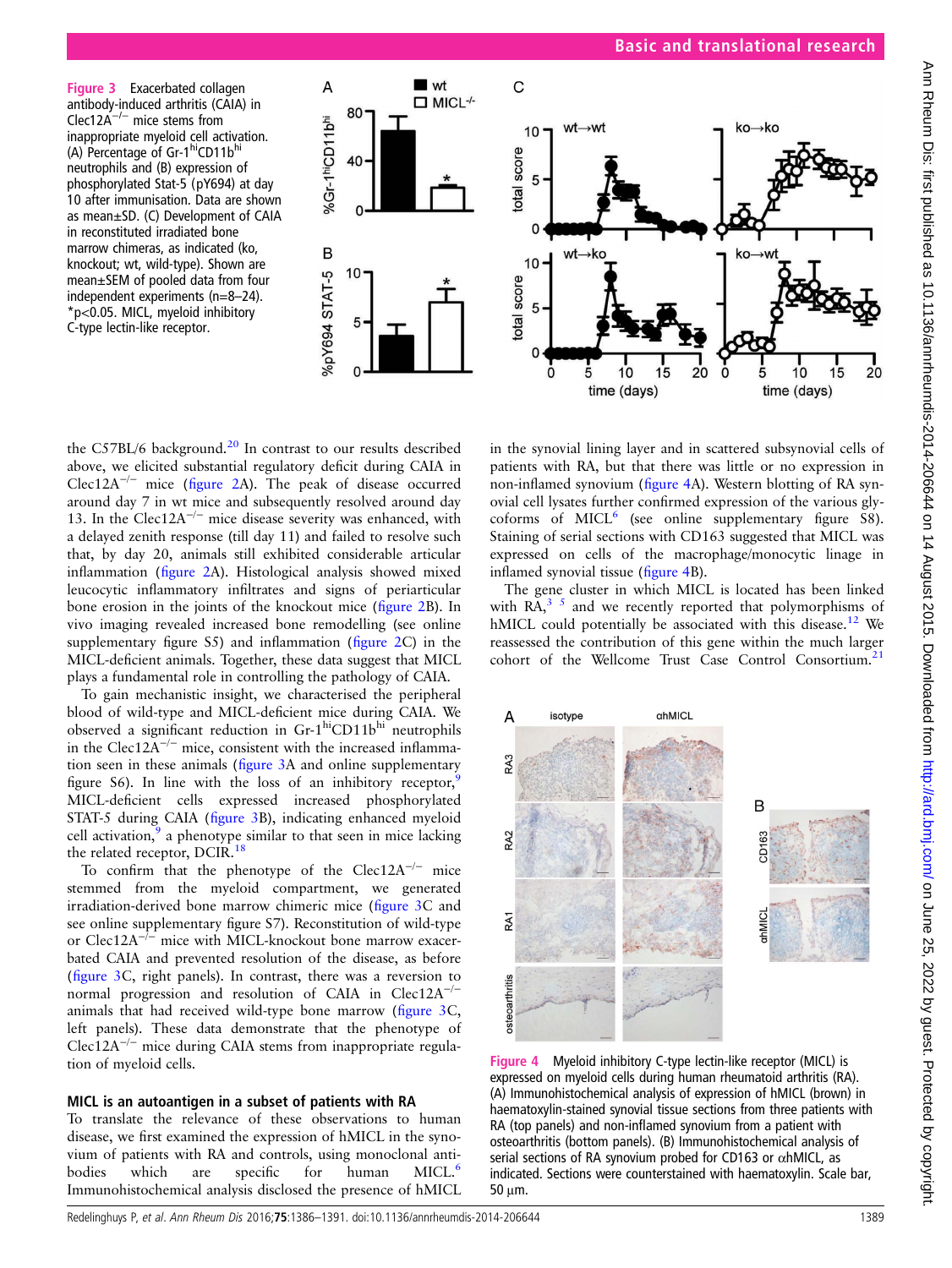Figure 3 Exacerbated collagen antibody-induced arthritis (CAIA) in Clec12A−/<sup>−</sup> mice stems from inappropriate myeloid cell activation. (A) Percentage of  $Gr-1<sup>hi</sup>CD11b<sup>hi</sup>$ neutrophils and (B) expression of phosphorylated Stat-5 (pY694) at day 10 after immunisation. Data are shown as mean±SD. (C) Development of CAIA in reconstituted irradiated bone marrow chimeras, as indicated (ko, knockout; wt, wild-type). Shown are mean±SEM of pooled data from four independent experiments (n=8–24). \*p<0.05. MICL, myeloid inhibitory C-type lectin-like receptor.



the C57BL/6 background.<sup>[20](#page-5-0)</sup> In contrast to our results described above, we elicited substantial regulatory deficit during CAIA in Clec12A−/<sup>−</sup> mice (fi[gure 2A](#page-2-0)). The peak of disease occurred around day 7 in wt mice and subsequently resolved around day 13. In the Clec12A<sup> $-/-$ </sup> mice disease severity was enhanced, with a delayed zenith response (till day 11) and failed to resolve such that, by day 20, animals still exhibited considerable articular inflammation (fi[gure 2A](#page-2-0)). Histological analysis showed mixed leucocytic inflammatory infiltrates and signs of periarticular bone erosion in the joints of the knockout mice (fi[gure 2B](#page-2-0)). In vivo imaging revealed increased bone remodelling (see online [supplementary](http://ard.bmj.com/lookup/suppl/doi:10.1136/annrheumdis-2014-206644/-/DC1) figure S5) and inflammation (fi[gure 2C](#page-2-0)) in the MICL-deficient animals. Together, these data suggest that MICL plays a fundamental role in controlling the pathology of CAIA.

To gain mechanistic insight, we characterised the peripheral blood of wild-type and MICL-deficient mice during CAIA. We observed a significant reduction in Gr-1<sup>hi</sup>CD11b<sup>hi</sup> neutrophils in the Clec12A<sup> $-/-$ </sup> mice, consistent with the increased inflammation seen in these animals (figure 3A and online [supplementary](http://ard.bmj.com/lookup/suppl/doi:10.1136/annrheumdis-2014-206644/-/DC1) fi[gure](http://ard.bmj.com/lookup/suppl/doi:10.1136/annrheumdis-2014-206644/-/DC1) S6). In line with the loss of an inhibitory receptor,  $\frac{5}{3}$ MICL-deficient cells expressed increased phosphorylated STAT-5 during CAIA (figure 3B), indicating enhanced myeloid cell activation, $9$  a phenotype similar to that seen in mice lacking the related receptor, DCIR.<sup>[18](#page-5-0)</sup>

To confirm that the phenotype of the Clec12A<sup> $-/-$ </sup> mice stemmed from the myeloid compartment, we generated irradiation-derived bone marrow chimeric mice (figure 3C and see online [supplementary](http://ard.bmj.com/lookup/suppl/doi:10.1136/annrheumdis-2014-206644/-/DC1) figure S7). Reconstitution of wild-type or Clec12A−/<sup>−</sup> mice with MICL-knockout bone marrow exacerbated CAIA and prevented resolution of the disease, as before (figure 3C, right panels). In contrast, there was a reversion to normal progression and resolution of CAIA in  $Clec12A^{-/-}$ animals that had received wild-type bone marrow (figure 3C, left panels). These data demonstrate that the phenotype of Clec12A−/<sup>−</sup> mice during CAIA stems from inappropriate regulation of myeloid cells.

## MICL is an autoantigen in a subset of patients with RA

To translate the relevance of these observations to human disease, we first examined the expression of hMICL in the synovium of patients with RA and controls, using monoclonal anti-bodies which are specific for human MICL.<sup>[6](#page-5-0)</sup> Immunohistochemical analysis disclosed the presence of hMICL

in the synovial lining layer and in scattered subsynovial cells of patients with RA, but that there was little or no expression in non-inflamed synovium (figure 4A). Western blotting of RA synovial cell lysates further confirmed expression of the various glycoforms of  $MICL<sup>6</sup>$  $MICL<sup>6</sup>$  $MICL<sup>6</sup>$  (see online [supplementary](http://ard.bmj.com/lookup/suppl/doi:10.1136/annrheumdis-2014-206644/-/DC1) figure S8). Staining of serial sections with CD163 suggested that MICL was expressed on cells of the macrophage/monocytic linage in inflamed synovial tissue (figure 4B).

The gene cluster in which MICL is located has been linked with  $\overline{RA}^{3.5}$  and we recently reported that polymorphisms of hMICL could potentially be associated with this disease.<sup>12</sup> We reassessed the contribution of this gene within the much larger cohort of the Wellcome Trust Case Control Consortium.<sup>[21](#page-5-0)</sup>



Figure 4 Myeloid inhibitory C-type lectin-like receptor (MICL) is expressed on myeloid cells during human rheumatoid arthritis (RA). (A) Immunohistochemical analysis of expression of hMICL (brown) in haematoxylin-stained synovial tissue sections from three patients with RA (top panels) and non-inflamed synovium from a patient with osteoarthritis (bottom panels). (B) Immunohistochemical analysis of serial sections of RA synovium probed for CD163 or αhMICL, as indicated. Sections were counterstained with haematoxylin. Scale bar, 50 μm.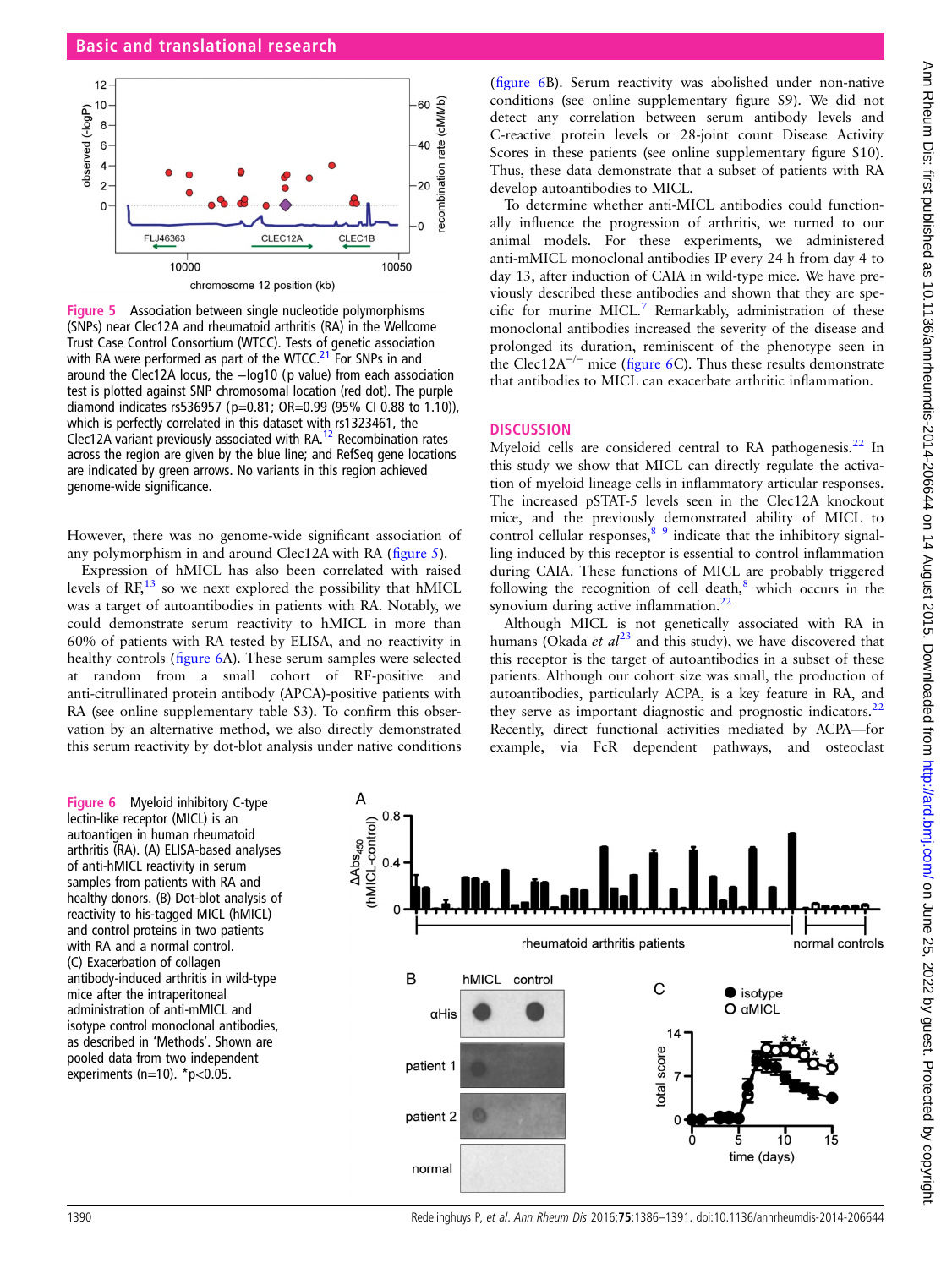

Figure 5 Association between single nucleotide polymorphisms (SNPs) near Clec12A and rheumatoid arthritis (RA) in the Wellcome Trust Case Control Consortium (WTCC). Tests of genetic association with RA were performed as part of the WTCC.<sup>21</sup> For SNPs in and around the Clec12A locus, the −log10 (p value) from each association test is plotted against SNP chromosomal location (red dot). The purple diamond indicates rs536957 (p=0.81; OR=0.99 (95% CI 0.88 to 1.10)), which is perfectly correlated in this dataset with rs1323461, the Clec[12](#page-5-0)A variant previously associated with RA.<sup>12</sup> Recombination rates across the region are given by the blue line; and RefSeq gene locations are indicated by green arrows. No variants in this region achieved genome-wide significance.

However, there was no genome-wide significant association of any polymorphism in and around Clec12A with RA (figure 5).

Expression of hMICL has also been correlated with raised levels of  $RF<sub>13</sub>$  $RF<sub>13</sub>$  $RF<sub>13</sub>$  so we next explored the possibility that hMICL was a target of autoantibodies in patients with RA. Notably, we could demonstrate serum reactivity to hMICL in more than 60% of patients with RA tested by ELISA, and no reactivity in healthy controls (figure 6A). These serum samples were selected at random from a small cohort of RF-positive and anti-citrullinated protein antibody (APCA)-positive patients with RA (see online supplementary table S3). To confirm this observation by an alternative method, we also directly demonstrated this serum reactivity by dot-blot analysis under native conditions

(figure 6B). Serum reactivity was abolished under non-native conditions (see online [supplementary](http://ard.bmj.com/lookup/suppl/doi:10.1136/annrheumdis-2014-206644/-/DC1) figure S9). We did not detect any correlation between serum antibody levels and C-reactive protein levels or 28-joint count Disease Activity Scores in these patients (see online [supplementary](http://ard.bmj.com/lookup/suppl/doi:10.1136/annrheumdis-2014-206644/-/DC1) figure S10). Thus, these data demonstrate that a subset of patients with RA develop autoantibodies to MICL.

To determine whether anti-MICL antibodies could functionally influence the progression of arthritis, we turned to our animal models. For these experiments, we administered anti-mMICL monoclonal antibodies IP every 24 h from day 4 to day 13, after induction of CAIA in wild-type mice. We have previously described these antibodies and shown that they are spe-cific for murine MICL.<sup>[7](#page-5-0)</sup> Remarkably, administration of these monoclonal antibodies increased the severity of the disease and prolonged its duration, reminiscent of the phenotype seen in the Clec12A<sup> $-/-$ </sup> mice (figure 6C). Thus these results demonstrate that antibodies to MICL can exacerbate arthritic inflammation.

## **DISCUSSION**

Myeloid cells are considered central to RA pathogenesis. $^{22}$  $^{22}$  $^{22}$  In this study we show that MICL can directly regulate the activation of myeloid lineage cells in inflammatory articular responses. The increased pSTAT-5 levels seen in the Clec12A knockout mice, and the previously demonstrated ability of MICL to control cellular responses,  $89$  indicate that the inhibitory signalling induced by this receptor is essential to control inflammation during CAIA. These functions of MICL are probably triggered following the recognition of cell death, $\delta$  which occurs in the synovium during active inflammation.<sup>[22](#page-5-0)</sup>

Although MICL is not genetically associated with RA in humans (Okada et  $a l^{23}$  $a l^{23}$  $a l^{23}$  and this study), we have discovered that this receptor is the target of autoantibodies in a subset of these patients. Although our cohort size was small, the production of autoantibodies, particularly ACPA, is a key feature in RA, and they serve as important diagnostic and prognostic indicators. $^{22}$  $^{22}$  $^{22}$ Recently, direct functional activities mediated by ACPA—for example, via FcR dependent pathways, and osteoclast

Figure 6 Myeloid inhibitory C-type lectin-like receptor (MICL) is an autoantigen in human rheumatoid arthritis (RA). (A) ELISA-based analyses of anti-hMICL reactivity in serum samples from patients with RA and healthy donors. (B) Dot-blot analysis of reactivity to his-tagged MICL (hMICL) and control proteins in two patients with RA and a normal control. (C) Exacerbation of collagen antibody-induced arthritis in wild-type mice after the intraperitoneal administration of anti-mMICL and isotype control monoclonal antibodies, as described in 'Methods'. Shown are pooled data from two independent experiments (n=10).  $p<0.05$ .